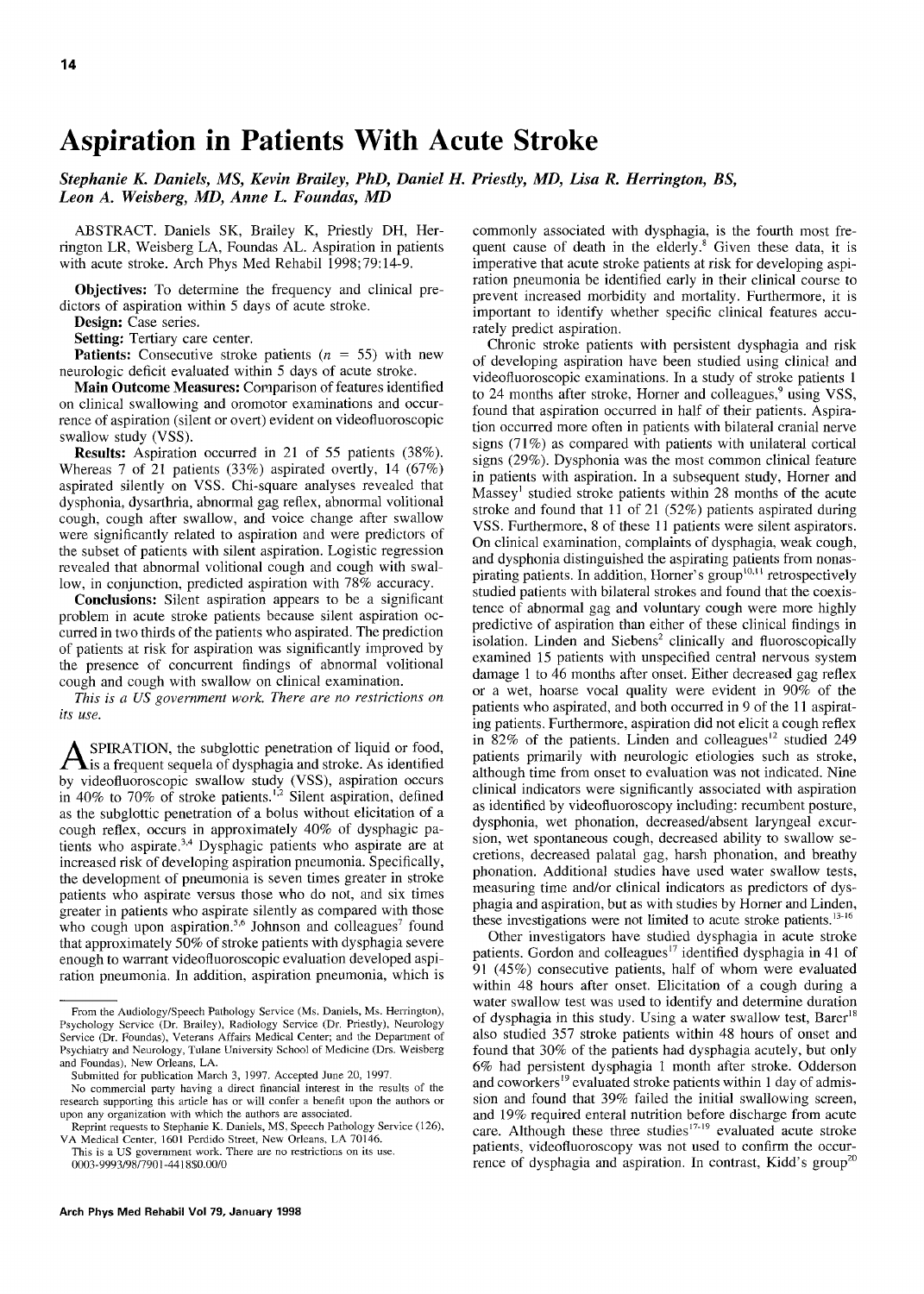# **Aspiration in Patients With Acute Stroke**

*Stephanie K. Daniels, MS, Kevin Brailey, PhD, Daniel H. Priestly, AID, Lisa R. Herrington, BS, Leon A. Weisberg, MD, Anne L. Foundas, MD* 

ABSTRACT. Daniels SK, Brailey K, Priestly DH, Herrington LR, Weisberg LA, Foundas AL. Aspiration in patients with acute stroke. Arch Phys Med Rehabil 1998;79:14-9.

**Objectives:** To determine the frequency and clinical predictors of aspiration within 5 days of acute stroke.

**Design:** Case series.

**Setting:** Tertiary care center.

**Patients:** Consecutive stroke patients  $(n = 55)$  with new neurologic deficit evaluated within 5 days of acute stroke.

**Main Outcome Measures:** Comparison of features identified on clinical swallowing and oromotor examinations and occurrence of aspiration (silent or overt) evident on videofluoroscopic swallow study (VSS).

**Results:** Aspiration occurred in 21 of 55 patients (38%). Whereas 7 of 21 patients (33%) aspirated overtly, 14 (67%) aspirated silently on VSS. Chi-square analyses revealed that dysphonia, dysarthria, abnormal gag reflex, abnormal volitional cough, cough after swallow, and voice change after swallow were significantly related to aspiration and were predictors of the subset of patients with silent aspiration. Logistic regression revealed that abnormal volitional cough and cough with swallow, in conjunction, predicted aspiration with 78% accuracy.

**Conclusions:** Silent aspiration appears to be a significant problem in acute stroke patients because silent aspiration occurred in two thirds of the patients who aspirated. The prediction of patients at risk for aspiration was significantly improved by the presence of concurrent findings of abnormal volitional cough and cough with swallow on clinical examination.

*This is a US government work. There are no restrictions on its use.* 

**A** SPIRATION, the subglottic penetration of liquid or food, is a frequent sequela of dysphagia and stroke. As identified by videofluoroscopic swallow study (VSS), aspiration occurs in 40% to 70% of stroke patients.<sup>1,2</sup> Silent aspiration, defined as the subglottic penetration of a bolus without elicitation of a cough reflex, occurs in approximately 40% of dysphagic patients who aspirate.<sup>3,4</sup> Dysphagic patients who aspirate are at increased risk of developing aspiration pneumonia. Specifically, the development of pneumonia is seven times greater in stroke patients who aspirate versus those who do not, and six times greater in patients who aspirate silently as compared with those who cough upon aspiration.<sup>5,6</sup> Johnson and colleagues<sup>7</sup> found that approximately 50% of stroke patients with dysphagia severe enough to warrant videofluoroscopic evaluation developed aspiration pneumonia. In addition, aspiration pneumonia, which is

commonly associated with dysphagia, is the fourth most frequent cause of death in the elderly, $\delta$  Given these data, it is imperative that acute stroke patients at risk for developing aspiration pneumonia be identified early in their clinical course to prevent increased morbidity and mortality. Furthermore, it **is**  important to identify whether specific clinical features accurately predict aspiration.

Chronic stroke patients with persistent dysphagia and risk of developing aspiration have been studied using clinical and videofluoroscopic examinations. In a study of stroke patients 1 to 24 months after stroke, Horner and colleagues,<sup>9</sup> using VSS, found that aspiration occurred in half of their patients. Aspiration occurred more often in patients with bilateral cranial nerve signs (71%) as compared with patients with unilateral cortical signs (29%). Dysphonia was the most common clinical feature in patients with aspiration. In a subsequent study, Homer and  $M$ assey<sup>1</sup> studied stroke patients within 28 months of the acute stroke and found that  $11$  of  $21$  (52%) patients aspirated during VSS. Furthermore, 8 of these 11 patients were silent aspirators. On clinical examination, complaints of dysphagia, weak cough, and dysphonia distinguished the aspirating patients from nonaspirating patients. In addition, Horner's group<sup>10,11</sup> retrospectively studied patients with bilateral strokes and found that the coexistence of abnormal gag and voluntary cough were more highly predictive of aspiration than either of these clinical findings in isolation. Linden and Siebens<sup>2</sup> clinically and fluoroscopically examined 15 patients with unspecified central nervous system damage 1 to 46 months after onset. Either decreased gag reflex or a wet, hoarse vocal quality were evident in 90% of the patients who aspirated, and both occurred in 9 of the 11 aspirating patients. Furthermore, aspiration did not elicit a cough refex in  $82\%$  of the patients. Linden and colleagues<sup>12</sup> studied 249 patients primarily with neurologic etiologies such as stroke, although time from onset to evaluation was not indicated. Nine clinical indicators were significantly associated with aspiration as identified by videofluoroscopy including: recumbent posture, dysphonia, wet phonation, decreased/absent laryngeal excursion, wet spontaneous cough, decreased ability to swallow secretions, decreased palatal gag, harsh phonation, and breathy phonation. Additional studies have used water swallow tests, measuring time and/or clinical indicators as predictors of dysphagia and aspiration, but as with studies by Homer and Linden, these investigations were not limited to acute stroke patients.<sup>13-16</sup>

Other investigators have studied dysphagia in acute stroke patients. Gordon and colleagues<sup>17</sup> identified dysphagia in 41 of 91 (45%) consecutive patients, half of whom were evaluated within 48 hours after onset. Elicitation of a cough during a water swallow test was used to identify and determine duration of dysphagia in this study. Using a water swallow test, Barer also studied 357 stroke patients within 48 hours of onset and found that 30% of the patients had dysphagia acutely, but only 6% had persistent dysphagia 1 month after stroke. Odderson and coworkers<sup>19</sup> evaluated stroke patients within 1 day of admission and found that 39% failed the initial swallowing screen, and 19% required enteral nutrition before discharge from acute care. Although these three studies<sup>17-19</sup> evaluated acute stroke patients, videofluoroscopy was not used to confirm the occurrence of dysphagia and aspiration. In contrast, Kidd's group<sup>20</sup>

From the Audiology/Speech Pathology Service (Ms. Daniels, Ms. Herrington), Psychology Service (Dr. Brailey), Radiology Service (Dr. Priestly), Neurology Service (Dr. Foundas), Veterans Affairs Medical Center; and the Department of Psychiatry and Neurology, Tulane University School of Medicine (Drs. Weisberg and Foundas), New Orleans, LA. Submitted for publication March 3, 1997. Accepted June 20, 1997.

No commercial party having a direct financial interest in the results of **the**  research supporting this article has or will confer a benefit upon the authors or upon any organization with which the authors are associated.

Reprint requests to Stephanie K. Daniels, MS, Speech Pathology Service (126), VA Medical Center, 1601 Perdido Street, New Orleans, LA 70146.

This is a US government work. There are no restrictions on its use. 0003-9993/98/7901-441850.00/0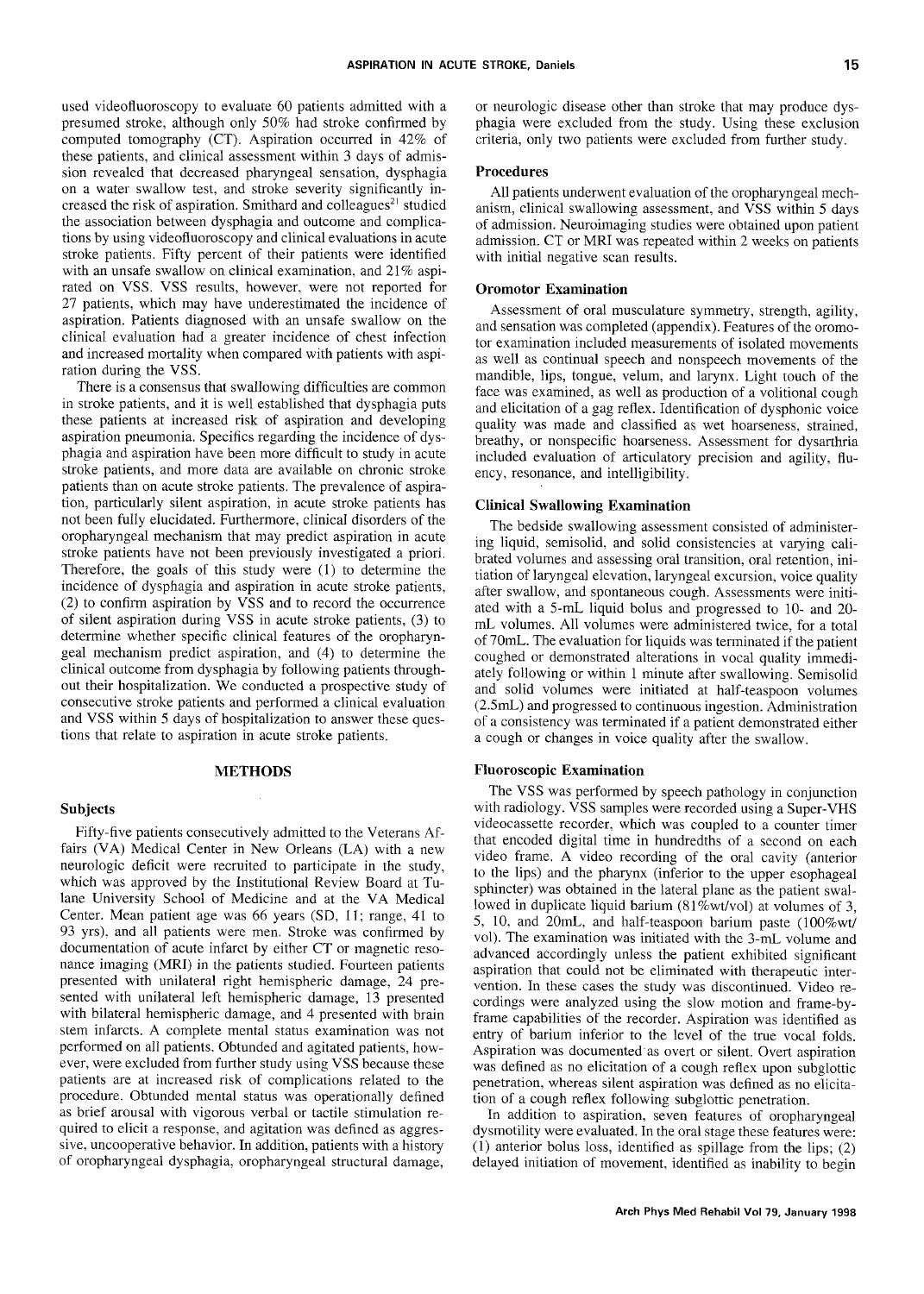used videofluoroscopy to evaluate 60 patients admitted with a presumed stroke, although only 50% had stroke confirmed by computed tomography (CT). Aspiration occurred in 42% of these patients, and clinical assessment within 3 days of admission revealed that decreased pharyngeal sensation, dysphagia on a water swallow test, and stroke severity significantly increased the risk of aspiration. Smithard and colleagues<sup>21</sup> studied the association between dysphagia and outcome and complications by using videofluoroscopy and clinical evaluations in acute stroke patients. Fifty percent of their patients were identified with an unsafe swallow on clinical examination, and 21% aspirated on VSS. VSS results, however, were not reported for 27 patients, which may have underestimated the incidence of aspiration. Patients diagnosed with an unsafe swallow on the clinical evaluation had a greater incidence of chest infection and increased mortality when compared with patients with aspiration during the VSS.

There is a consensus that swallowing difficulties are common in stroke patients, and it is well established that dysphagia puts these patients at increased risk of aspiration and developing aspiration pneumonia. Specifics regarding the incidence of dysphagia and aspiration have been more difficult to study in acute stroke patients, and more data are available on chronic stroke patients than on acute stroke patients. The prevalence of aspiration, particularly silent aspiration, in acute stroke patients has not been fully elucidated. Furthermore, clinical disorders of the oropharyngeal mechanism that may predict aspiration in acute stroke patients have not been previously investigated a priori. Therefore, the goals of this study were (1) to determine the incidence of dysphagia and aspiration in acute stroke patients, (2) to confirm aspiration by VSS and to record the occurrence of silent aspiration during VSS in acute stroke patients, (3) to determine whether specific clinical features of the oropharyngeal mechanism predict aspiration, and (4) to determine the clinical outcome from dysphagia by following patients throughout their hospitalization. We conducted a prospective study of consecutive stroke patients and performed a clinical evaluation and VSS within 5 days of hospitalization to answer these questions that relate to aspiration in acute stroke patients.

### **METHODS**

#### **Subjects**

Fifty-five patients consecutively admitted to the Veterans Affairs (VA) Medical Center in New Orleans (LA) with a new neurologic deficit were recruited to participate in the study, which was approved by the Institutional Review Board at Tulane University School of Medicine and at the VA Medical Center. Mean patient age was 66 years (SD, ll; range, 41 to 93 yrs), and all patients were men. Stroke was confirmed by documentation of acute infarct by either CT or magnetic resonance imaging (MRI) in the patients studied. Fourteen patients presented with unilateral right hemispheric damage, 24 presented with unilateral left hemispheric damage, 13 presented with bilateral hemispheric damage, and 4 presented with brain stem infarcts. A complete mental status examination was not performed on all patients. Obtunded and agitated patients, however, were excluded from further study using VSS because these patients are at increased risk of complications related to the procedure. Obtunded mental status was operationally defined as brief arousal with vigorous verbal or tactile stimulation required to elicit a response, and agitation was defined as aggressive, uncooperative behavior. In addition, patients with a history of oropharyngeal dysphagia, oropharyngeal structural damage,

or neurologic disease other than stroke that may produce dysphagia were excluded from the study. Using these exclusion criteria, only two patients were excluded from further study.

#### **Procedures**

All patients underwent evaluation of the oropharyngeal mechanism, clinical swallowing assessment, and VSS within 5 days of admission. Neuroimaging studies were obtained upon patient admission. CT or MRI was repeated within 2 weeks on patients with initial negative scan results.

### **Oromotor Examination**

Assessment of oral musculature symmetry, strength, agility, and sensation was completed (appendix). Features of the oromotor examination included measurements of isolated movements as well as continual speech and nonspeech movements of the mandible, tips, tongue, velum, and larynx. Light touch of the face was examined, as well as production of a volitional cough and elicitation of a gag reflex. Identification of dysphonic voice quality was made and classified as wet hoarseness, strained, breathy, or nonspecific hoarseness. Assessment for dysarthria included evaluation of articulatory precision and agility, fluency, resonance, and intelligibility.

### **Clinical Swallowing Examination**

The bedside swallowing assessment consisted of administering liquid, semisolid, and solid consistencies at varying calibrated volumes and assessing oral transition, oral retention, initiation of laryngeal elevation, laryngeal excursion, voice quality after swallow, and spontaneous cough. Assessments were initiated with a 5-mL liquid bolus and progressed to 10- and 20 mL volumes. All volumes were administered twice, for a total of 70mL. The evaluation for liquids was terminated if the patient coughed or demonstrated alterations in vocal quality immediately following or within 1 minute after swallowing. Semisolid and solid volumes were initiated at half-teaspoon volumes (2.5mL) and progressed to continuous ingestion. Administration of a consistency was terminated if a patient demonstrated either a cough or changes in voice quality after the swallow.

## **Fluoroscopic Examination**

The VSS was performed by speech pathology in conjunction with radiology. VSS samples were recorded using a Super-VHS videocassette recorder, which was coupled to a counter timer that encoded digital time in hundredths of a second on each video frame. A video recording of the oral cavity (anterior to the lips) and the pharynx (inferior to the upper esophageal sphincter) was obtained in the lateral plane as the patient swallowed in duplicate liquid barium (81%wt/vol) at volumes of 3. 5, 10, and 20mL, and half-teaspoon barium paste (100%wt/ vol). The examination was initiated with the 3-mL volume and advanced accordingly unless the patient exhibited significant aspiration that could not be eliminated with therapeutic intervention. In these cases the study was discontinued. Video recordings were analyzed using the slow motion and frame-byframe capabilities of the recorder. Aspiration was identified as entry of barium inferior to the level of the true vocal folds. Aspiration was documented as overt or silent. Overt aspiration was defined as no elicitation of a cough reflex upon subglottic penetration, whereas silent aspiration was defined as no elicitation of a cough reflex following subglottic penetration.

In addition to aspiration, seven features of oropharyngeal dysmotility were evaluated. In the oral stage these features were: (1) anterior bolus loss, identified as spillage from the lips; (2) delayed initiation of movement, identified as inability to begin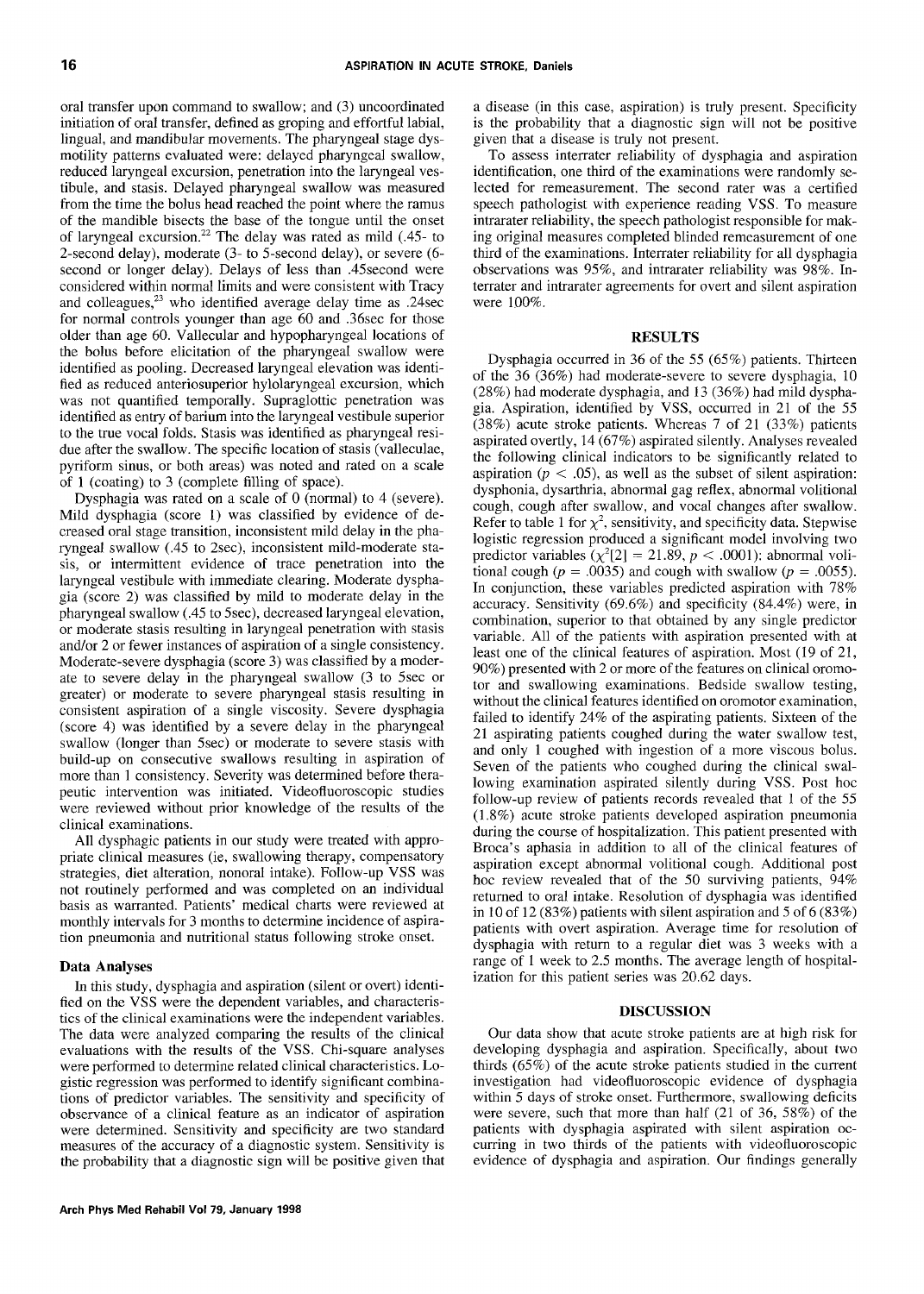oral transfer upon command to swallow; and (3) uncoordinated initiation of oral transfer, defined as groping and effortful labial, lingual, and mandibular movements. The pharyngeal stage dysmotility patterns evaluated were: delayed pharyngeal swallow, reduced laryngeal excursion, penetration into the laryngeal vestibule, and stasis. Delayed pharyngeal swallow was measured from the time the bolus head reached the point where the ramus of the mandible bisects the base of the tongue until the onset of laryngeal excursion.<sup>22</sup> The delay was rated as mild  $(.45 -$ to 2-second delay), moderate (3- to 5-second delay), or severe (6 second or longer delay). Delays of less than .45second were considered within normal limits and were consistent with Tracy and colleagues, 23 who identified average delay time as .24sec for normal controls younger than age 60 and .36sec for those older than age 60. Vallecular and hypopharyngeal locations of the bolus before elicitation of the pharyngeal swallow were identified as pooling. Decreased laryngeal elevation was identified as reduced anteriosuperior hylolaryngeal excursion, which was not quantified temporally. Supraglottic penetration was identified as entry of barium into the laryngeal vestibule superior to the true vocal folds. Stasis was identified as pharyngeal residue after the swallow. The specific location of stasis (valleculae, pyriform sinus, or both areas) was noted and rated on a scale of 1 (coating) to 3 (complete filling of space).

Dysphagia was rated on a scale of 0 (normal) to 4 (severe). Mild dysphagia (score 1) was classified by evidence of decreased oral stage transition, inconsistent mild delay in the pharyngeal swallow (.45 to 2sec), inconsistent mild-moderate stasis, or intermittent evidence of trace penetration into the laryngeal vestibule with immediate clearing. Moderate dysphagia (score 2) was classified by mild to moderate delay in the pharyngeal swallow (.45 to 5sec), decreased laryngeal elevation, or moderate stasis resulting in laryngeal penetration with stasis and/or 2 or fewer instances of aspiration of a single consistency. Moderate-severe dysphagia (score 3) was classified by a moderate to severe delay in the pharyngeal swallow (3 to 5sec or greater) or moderate to severe pharyngeal stasis resulting in consistent aspiration of a single viscosity. Severe dysphagia (score 4) was identified by a severe delay in the pharyngeal swallow (longer than 5sec) or moderate to severe stasis with build-up on consecutive swallows resulting in aspiration of more than 1 consistency. Severity was determined before therapeutic intervention was initiated. Videoftuoroscopic studies were reviewed without prior knowledge of the results of the clinical examinations.

All dysphagic patients in our study were treated with appropriate clinical measures (ie, swallowing therapy, compensatory strategies, diet alteration, nonoral intake). Follow-up VSS was not routinely performed and was completed on an individual basis as warranted. Patients' medical charts were reviewed at monthly intervals for 3 months to determine incidence of aspiration pneumonia and nutritional status following stroke onset.

#### **Data Analyses**

In this study, dysphagia and aspiration (silent or overt) identified on the VSS were the dependent variables, and characteristics of the clinical examinations were the independent variables. The data were analyzed comparing the results of the clinical evaluations with the results of the VSS. Chi-square analyses were performed to determine related clinical characteristics. Logistic regression was performed to identify significant combinations of predictor variables. The sensitivity and specificity of observance of a clinical feature as an indicator of aspiration were determined. Sensitivity and specificity are two standard measures of the accuracy of a diagnostic system. Sensitivity is the probability that a diagnostic sign will be positive given that a disease (in this case, aspiration) is truly present. Specificity is the probability that a diagnostic sign will not be positive given that a disease is truly not present.

To assess interrater reliability of dysphagia and aspiration identification, one third of the examinations were randomly selected for remeasurement. The second rater was a certified speech pathologist with experience reading VSS. To measure intrarater reliability, the speech pathologist responsible for making original measures completed blinded remeasurement of one third of the examinations. Interrater reliability for all dysphagia observations was 95%, and intrarater reliability was 98%. Interrater and intrarater agreements for overt and silent aspiration were 100%.

### RESULTS

Dysphagia occurred in 36 of the 55 (65%) patients. Thirteen of the 36 (36%) had moderate-severe to severe dysphagia, 10 (28%) had moderate dysphagia, and 13 (36%) had mild dysphagia. Aspiration, identified by VSS, occurred in 21 of the 55 (38%) acute stroke patients. Whereas 7 of 21 (33%) patients aspirated overtly, 14 (67%) aspirated silently. Analyses revealed the following clinical indicators to be significantly related to aspiration ( $p < .05$ ), as well as the subset of silent aspiration: dysphonia, dysarthria, abnormal gag reflex, abnormal volitional cough, cough after swallow, and vocal changes after swallow. Refer to table 1 for  $\chi^2$ , sensitivity, and specificity data. Stepwise logistic regression produced a significant model involving two predictor variables ( $\chi^2[2] = 21.89$ ,  $p < .0001$ ): abnormal volitional cough ( $p = .0035$ ) and cough with swallow ( $p = .0055$ ). In conjunction, these variables predicted aspiration with 78% accuracy. Sensitivity (69.6%) and specificity (84.4%) were, in combination, superior to that obtained by any single predictor variable. All of the patients with aspiration presented with at least one of the clinical features of aspiration. Most (19 of 21, 90%) presented with 2 or more of the features on clinical oromotor and swallowing examinations. Bedside swallow testing, without the clinical features identified on oromotor examination, failed to identify 24% of the aspirating patients. Sixteen of the 21 aspirating patients coughed during the water swallow test, and only 1 coughed with ingestion of a more viscous bolus. Seven of the patients who coughed during the clinical swallowing examination aspirated silently during VSS. Post hoc follow-up review of patients records revealed that 1 of the 55 (1.8%) acute stroke patients developed aspiration pneumonia during the course of hospitalization. This patient presented with Broca's aphasia in addition to all of the clinical features of aspiration except abnormal volitional cough. Additional post hoc review revealed that of the 50 surviving patients, 94% returned to oral intake. Resolution of dysphagia was identified in 10 of 12 (83%) patients with silent aspiration and 5 of 6 (83%) patients with overt aspiration. Average time for resolution of dysphagia with return to a regular diet was 3 weeks with a range of 1 week to 2.5 months. The average length of hospitalization for this patient series was 20.62 days.

# DISCUSSION

Our data show that acute stroke patients are at high risk for developing dysphagia and aspiration. Specifically, about two thirds (65%) of the acute stroke patients studied in the current investigation had videofluoroscopic evidence of dysphagia within 5 days of stroke onset. Furthermore, swallowing deficits were severe, such that more than half (21 of 36, 58%) of the patients with dysphagia aspirated with silent aspiration occurring in two thirds of the patients with videofluoroscopic evidence of dysphagia and aspiration. Our findings generally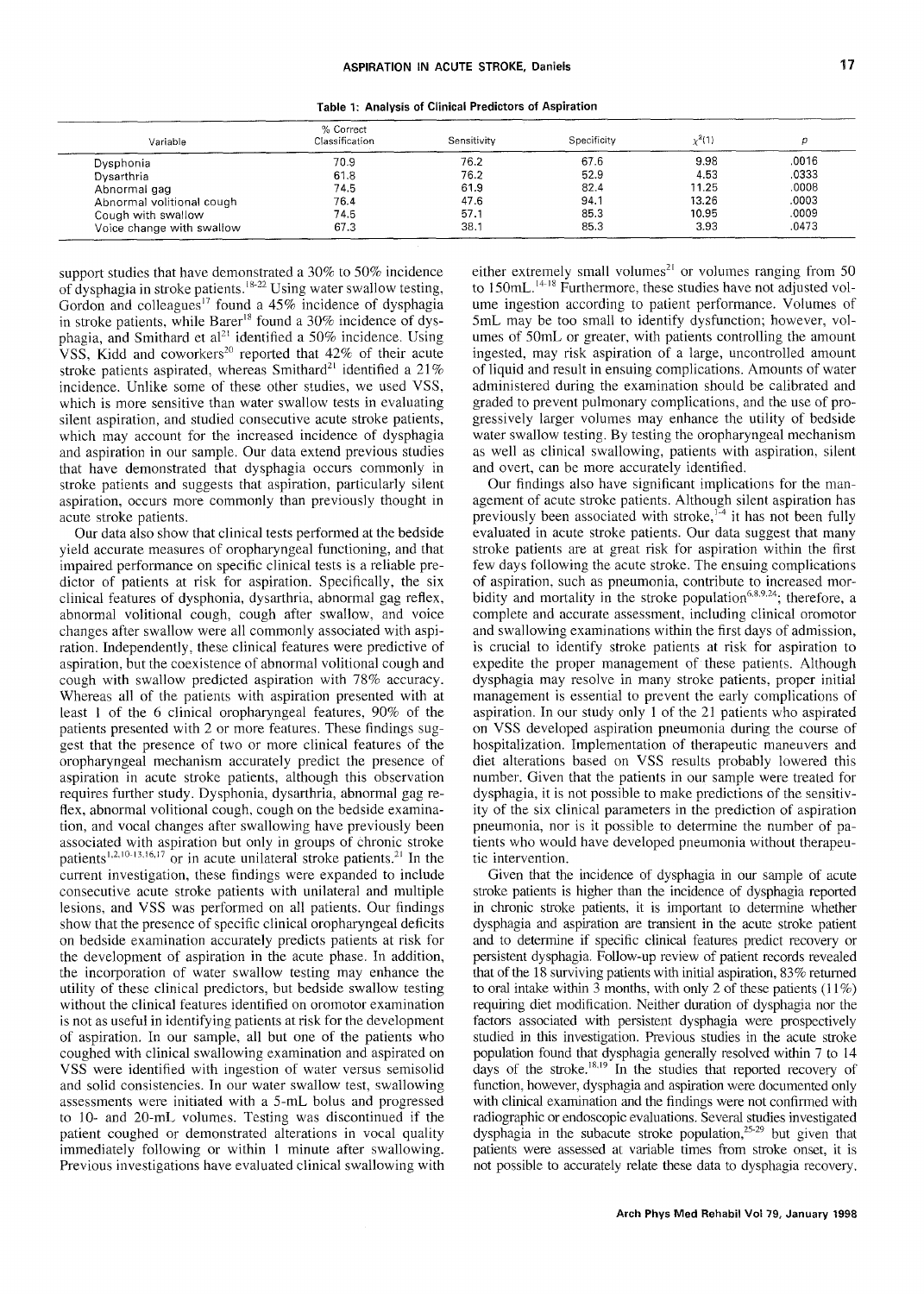|  | Table 1: Analysis of Clinical Predictors of Aspiration |  |  |  |  |
|--|--------------------------------------------------------|--|--|--|--|
|--|--------------------------------------------------------|--|--|--|--|

| Variable                  | % Correct<br>Classification | Sensitivity | Specificity | $x^2(1)$ |       |
|---------------------------|-----------------------------|-------------|-------------|----------|-------|
| Dysphonia                 | 70.9                        | 76.2        | 67.6        | 9.98     | .0016 |
| Dysarthria                | 61.8                        | 76.2        | 52.9        | 4.53     | .0333 |
| Abnormal gag              | 74.5                        | 61.9        | 82.4        | 11.25    | .0008 |
| Abnormal volitional cough | 76.4                        | 47.6        | 94.1        | 13.26    | .0003 |
| Cough with swallow        | 74.5                        | 57.1        | 85.3        | 10.95    | .0009 |
| Voice change with swallow | 67.3                        | 38.1        | 85.3        | 3.93     | .0473 |

support studies that have demonstrated a 30% to 50% incidence of dysphagia in stroke patients.<sup>18-22</sup> Using water swallow testing, Gordon and colleagues<sup>17</sup> found a  $45\%$  incidence of dysphagia in stroke patients, while Barer<sup>18</sup> found a  $30\%$  incidence of dysphagia, and Smithard et al<sup>21</sup> identified a 50% incidence. Using VSS, Kidd and coworkers<sup>20</sup> reported that  $42\%$  of their acute stroke patients aspirated, whereas Smithard<sup>21</sup> identified a  $21\%$ incidence. Unlike some of these other studies, we used VSS, which is more sensitive than water swallow tests in evaluating silent aspiration, and studied consecutive acute stroke patients, which may account for the increased incidence of dysphagia and aspiration in our sample. Our data extend previous studies that have demonstrated that dysphagia occurs commonly in stroke patients and suggests that aspiration, particularly silent aspiration, occurs more commonly than previously thought in acute stroke patients.

Our data also show that clinical tests performed at the bedside yield accurate measures of oropharyngeal functioning, and that impaired performance on specific clinical tests is a reliable predictor of patients at risk for aspiration. Specifically, the six clinical features of dysphonia, dysarthria, abnormal gag reflex, abnormal volitional cough, cough after swallow, and voice changes after swallow were all commonly associated with aspiration. Independently, these clinical features were predictive of aspiration, but the coexistence of abnormal volitional cough and cough with swallow predicted aspiration with 78% accuracy. Whereas all of the patients with aspiration presented with at least 1 of the 6 clinical oropharyngeal features, 90% of the patients presented with 2 or more features. These findings suggest that the presence of two or more clinical features of the oropharyngeal mechanism accurately predict the presence of aspiration in acute stroke patients, although this observation requires further study. Dysphonia, dysarthria, abnormal gag reflex, abnormal volitional cough, cough on the bedside examination, and vocal changes after swallowing have previously been associated with aspiration but only in groups of Chronic stroke patients<sup>1,2,10-13,16,17</sup> or in acute unilateral stroke patients.<sup>21</sup> In the current investigation, these findings were expanded to include consecutive acute stroke patients with unilateral and multiple lesions, and VSS was performed on all patients. Our findings show that the presence of specific clinical oropharyngeal deficits on bedside examination accurately predicts patients at risk for the development of aspiration in the acute phase. In addition, the incorporation of water swallow testing may enhance the utility of these clinical predictors, but bedside swallow testing without the clinical features identified on oromotor examination is not as useful in identifying patients at risk for the development of aspiration. In our sample, all but one of the patients who coughed with clinical swallowing examination and aspirated on VSS were identified with ingestion of water versus semisolid and solid consistencies. In our water swallow test, swallowing assessments were initiated with a 5-mL bolus and progressed to 10- and 20-mL volumes. Testing was discontinued if the patient coughed or demonstrated alterations in vocal quality immediately following or within 1 minute after swallowing. Previous investigations have evaluated clinical swallowing with either extremely small volumes<sup>21</sup> or volumes ranging from 50 to  $150$ mL.<sup>14-18</sup> Furthermore, these studies have not adjusted volume ingestion according to patient performance. Volumes of 5mL may be too small to identify dysfunction; however, volumes of 50mL or greater, with patients controlling the amount ingested, may risk aspiration of a large, uncontrolled amount of liquid and result in ensuing complications. Amounts of water administered during the examination should be calibrated and graded to prevent pulmonary complications, and the use of progressively larger volumes may enhance the utility of bedside water swallow testing. By testing the oropharyngeal mechanism as well as clinical swallowing, patients with aspiration, silent and overt, can be more accurately identified.

Our findings also have significant implications for the management of acute stroke patients. Although silent aspiration has previously been associated with stroke,<sup>14</sup> it has not been fully evaluated in acute stroke patients. Our data suggest that many stroke patients are at great risk for aspiration within the first few days following the acute stroke. The ensuing complications of aspiration, such as pneumonia, contribute to increased morbidity and mortality in the stroke population<sup>6,8,9,24</sup>; therefore, a complete and accurate assessment, including clinical oromotor and swallowing examinations within the first days of admission, is crucial to identify stroke patients at risk for aspiration to expedite the proper management of these patients. Although dysphagia may resolve in many stroke patients, proper initial management is essential to prevent the early complications of aspiration. In our study only 1 of the 21 patients who aspirated on VSS developed aspiration pneumonia during the course of hospitalization. Implementation of therapeutic maneuvers and diet alterations based on VSS results probably lowered this number. Given that the patients in our sample were treated for dysphagia, it is not possible to make predictions of the sensitivity of the six clinical parameters in the prediction of aspiration pneumonia, nor is it possible to determine the number of patients who would have developed pneumonia without therapeutic intervention.

Given that the incidence of dysphagia in our sample of acute stroke patients is higher than the incidence of dysphagia reported in chronic stroke patients, it is important to determine whether dysphagia and aspiration are transient in the acute stroke patient and to determine if specific clinical features predict recovery or persistent dysphagia. Follow-up review of patient records revealed that of the 18 surviving patients with initial aspiration, 83% returned to oral intake within  $\overline{3}$  months, with only 2 of these patients (11%) requiring diet modification. Neither duration of dysphagia nor the factors associated with persistent dysphagia were prospectively studied in this investigation. Previous studies in the acute stroke population found that dysphagia generally resolved within 7 to 14 days of the stroke.<sup>18,19</sup> In the studies that reported recovery of function, however, dysphagia and aspiration were documented only with clinical examination and the findings were not confirmed with radiographic or endoscopic evaluations. Several studies investigated dysphagia in the subacute stroke population,<sup>25-29</sup> but given that patients were assessed at variable times from stroke onset, it is not possible to accurately relate these data to dysphagia recovery.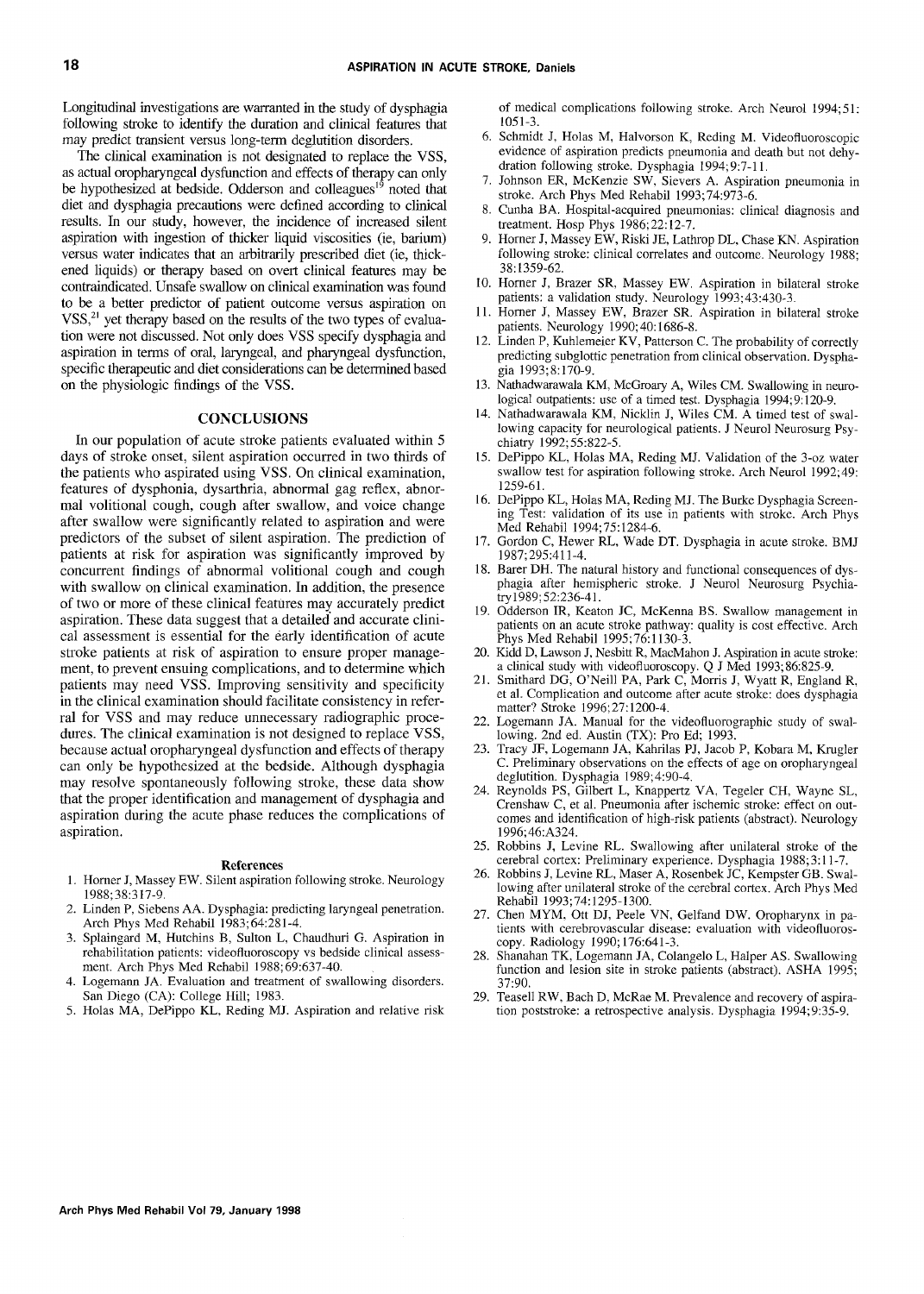Longitudinal investigations are warranted in the study of dysphagia following stroke to identify the duration and clinical features that may predict transient versus long-term deglutition disorders.

The clinical examination is not designated to replace the VSS, as actual oropharyngeal dysfunction and effects of therapy can only be hypothesized at bedside. Odderson and colleagues<sup>19</sup> noted that diet and dysphagia precautions were defined according to clinical results. In our study, however, the incidence of increased silent aspiration with ingestion of thicker liquid viscosities (ie, barium) versus water indicates that an arbitrarily prescribed diet (ie, thickened liquids) or therapy based on overt clinical features may be contraindicated. Unsafe swallow on clinical examination was found to be a better predictor of patient outcome versus aspiration on  $VSS<sub>1</sub><sup>21</sup>$  yet therapy based on the results of the two types of evaluation were not discussed. Not only does VSS specify dysphagia and aspiration in terms of oral, laryngeal, and pharyngeal dysfunction, specific therapeutic and diet considerations can be determined based on the physiologic findings of the VSS.

#### **CONCLUSIONS**

In our population of acute stroke patients evaluated within 5 days of stroke onset, silent aspiration occurred in two thirds of the patients who aspirated using VSS. On clinical examination, features of dysphonia, dysarthria, abnormal gag reflex, abnormal volitional cough, cough after swallow, and voice change after swallow were significantly related to aspiration and were predictors of the subset of silent aspiration. The prediction of patients at risk for aspiration was significantly improved by concurrent findings of abnormal volitional cough and cough with swallow on clinical examination. In addition, the presence of two or more of these clinical features may. accurately predict aspiration. These data suggest that a detailed and accurate clinical assessment is essential for the early identification of acute stroke patients at risk of aspiration to ensure proper management, to prevent ensuing complications, and to determine which patients may need VSS. Improving sensitivity and specificity in the clinical examination should facilitate consistency in referral for VSS and may reduce unnecessary radiographic procedures. The clinical examination is not designed to replace VSS, because actual oropharyngeal dysfunction and effects of therapy can only be hypothesized at the bedside. Although dysphagia may resolve spontaneously following stroke, these data show that the proper identification and management of dysphagia and aspiration during the acute phase reduces the complications of aspiration.

#### **References**

- 1. Homer J, Massey EW. Silent aspiration following stroke. Neurology 1988;38:317-9.
- 2. Linden P, Siebens AA. Dysphagia: predicting laryngeal penetration. Arch Phys Med Rehabil 1983;64:281-4.
- 3. Splaingard M, Hutchins B, Sulton L, Chaudhuri G. Aspiration in rehabilitation patients: videofluoroscopy vs bedside clinical assessment. Arch Phys Med Rehabil 1988;69:637-40.
- 4. Logemann JA. Evaluation and treatment of swallowing disorders. San Diego (CA): College Hill; 1983.
- 5. Holas MA, DePippo KL, Reding MJ. Aspiration and relative risk

of medical complications following stroke. Arch Neurol 1994;51: 1051-3.

- 6. Schmidt J, Holas M, Halvorson K, Reding M. Videofluoroscopic evidence of aspiration predicts pneumonia and death but not dehydration following stroke. Dysphagia 1994;9:7-11.
- 7. Johnson ER, McKenzie SW, Sievers A. Aspiration pneumonia in stroke. Arch Phys Med Rehabil 1993;74:973-6.
- Cunha BA. Hospital-acquired pneumonias: clinical diagnosis and treatment. Hosp Phys 1986;22:12-7.
- 9. Horner J, Massey EW, Riski JE, Lathrop DL, Chase KN. Aspiration following stroke: clinical correlates and outcome. Neurology 1988; 38:1359-62.
- 10. Homer J, Brazer SR, Massey EW. Aspiration in bilateral stroke patients: a validation study. Neurology 1993;43:430-3.
- 11. Horner J, Massey EW, Brazer SR. Aspiration in bilateral stroke patients. Neurology 1990;40:1686-8.
- 12. Linden P, Kuhlemeier KV, Patterson C. The probability of correctly predicting subglottic penetration from clinical observation. Dysphagia 1993;8:170-9.
- 13. Nathadwarawala KM, McGroary A, Wiles CM. Swallowing in neurological outpatients: use of a timed test. Dysphagia 1994;9:120-9.
- 14. Nathadwarawala KM, Nicklin J, Wiles CM. A timed test of swallowing capacity for neurological patients. J Neurol Neurosurg Psychiatry 1992;55:822-5.
- 15. DePippo KL, Holas MA, Reding MJ. Validation of the 3-oz water swallow test for aspiration following stroke. Arch Neurol 1992;49: 1259-61.
- 16. DePippo KL, Holas MA, Reding MJ. The Burke Dysphagia Screening Test: validation of its use in patients with stroke. Arch Phys Med Rehabil 1994;75:1284-6.
- 17. Gordon C, Hewer RL, Wade DT. Dysphagia in acute stroke. BMJ 1987;295:411-4.
- 18. Barer DH. The natural history and functional consequences of dysphagia after hemispheric stroke. J Neurol Neurosurg Psychiatry1989;52:236-41.
- 19. Odderson IR, Keaton JC, McKenna BS. Swallow management in patients on an acute stroke pathway: quality is cost effective. Arch Phys Med Rehabil 1995; 76:1130-3.
- 20. Kidd D, Lawson J, Nesbitt R, MacMahon J. Aspiration in acute stroke: a clinical study with videofluoroscopy. Q J Med 1993;86:825-9.
- 21. Smithard DG, O'Neill PA, Park C, Morris J, Wyatt R, England R, et al. Complication and outcome after acute stroke: does dysphagia matter? Stroke 1996; 27:1200-4.
- Logemann JA. Manual for the videofluorographic study of swallowing. 2nd ed. Austin (TX): Pro Ed; 1993.
- 23. Tracy JF, Logemann JA, Kahrilas PJ, Jacob P, Kobara M, Krugler C. Preliminary observations on the effects of age on oropharyngeal deglutition. Dysphagia 1989;4:90-4.
- 24. Reynolds PS, Gilbert L, Knappertz VA, Tegeler CH, Wayne SL, Crenshaw C, et al. Pneumonia after ischemic stroke: effect on outcomes and identification of high-risk patients (abstract). Neurology 1996;46:A324.
- 25. Robbins J, Levine RL. Swallowing after unilateral stroke of the cerebral cortex: Preliminary experience. Dysphagia 1988;3:11-7.
- 26. Robbins J, Levine RL, Maser A, Rosenbek JC, Kempster GB. Swallowing after unilateral stroke of the cerebral cortex. Arch Phys Med Rehabil 1993;74:1295-1300.
- 27. Chen MYM, Ott DJ, Peele VN, Gelfand DW. Oropharynx in patients with cerebrovascular disease: evaluation with videofluoroscopy. Radiology 1990; 176:641-3.
- 28. Shanahan TK, Logemann JA, Colangelo L, Halper AS. Swallowing function and lesion site in stroke patients (abstract). ASHA 1995; 37:90.
- 29. Teasell RW, Bach D, McRae M. Prevalence and recovery of aspiration poststroke: a retrospective analysis. Dysphagia 1994;9:35-9.